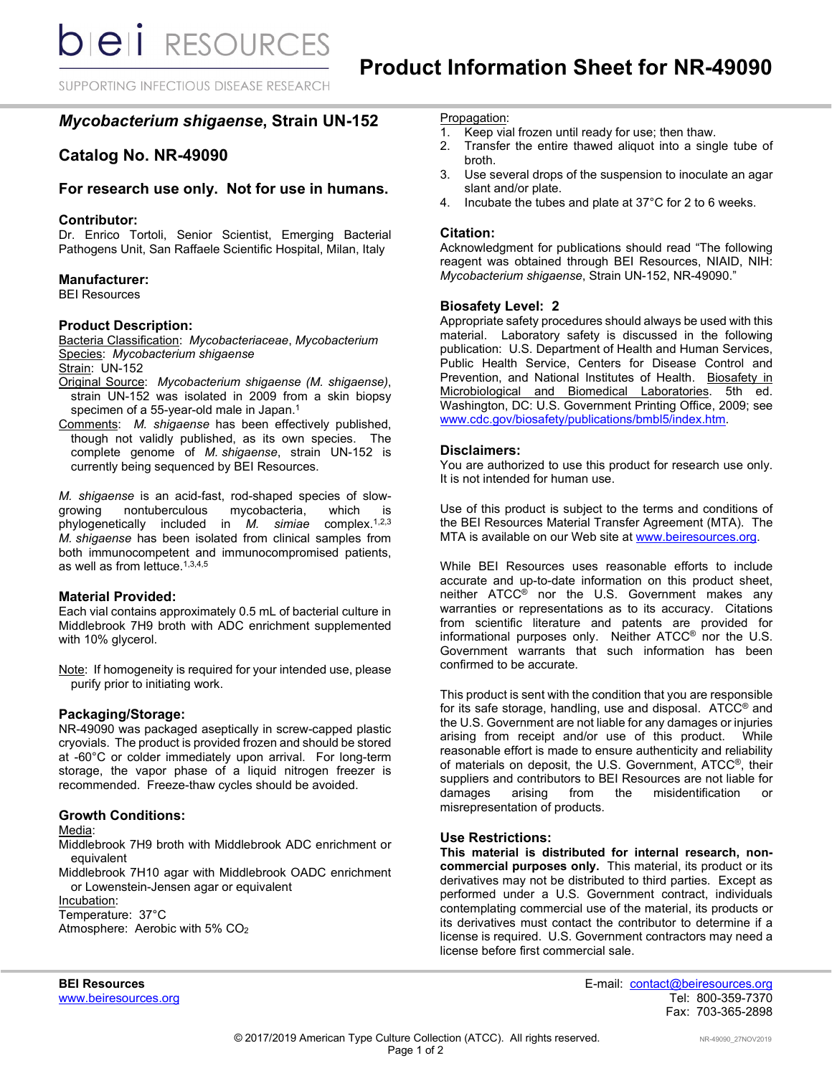SUPPORTING INFECTIOUS DISEASE RESEARCH

# *Mycobacterium shigaense***, Strain UN-152**

# **Catalog No. NR-49090**

# **For research use only. Not for use in humans.**

# **Contributor:**

Dr. Enrico Tortoli, Senior Scientist, Emerging Bacterial Pathogens Unit, San Raffaele Scientific Hospital, Milan, Italy

# **Manufacturer:**

BEI Resources

# **Product Description:**

Bacteria Classification: *Mycobacteriaceae*, *Mycobacterium* Species: *Mycobacterium shigaense*

Strain: UN-152

- Original Source: *Mycobacterium shigaense (M. shigaense)*, strain UN-152 was isolated in 2009 from a skin biopsy specimen of a 55-year-old male in Japan. 1
- Comments: *M. shigaense* has been effectively published, though not validly published, as its own species. The complete genome of *M. shigaense*, strain UN-152 is currently being sequenced by BEI Resources.

*M. shigaense* is an acid-fast, rod-shaped species of slownontuberculous mycobacteria, which is phylogenetically included in *M. simiae* complex.1,2,3 *M. shigaense* has been isolated from clinical samples from both immunocompetent and immunocompromised patients, as well as from lettuce.1,3,4,5

#### **Material Provided:**

Each vial contains approximately 0.5 mL of bacterial culture in Middlebrook 7H9 broth with ADC enrichment supplemented with 10% glycerol.

Note: If homogeneity is required for your intended use, please purify prior to initiating work.

#### **Packaging/Storage:**

NR-49090 was packaged aseptically in screw-capped plastic cryovials. The product is provided frozen and should be stored at -60°C or colder immediately upon arrival. For long-term storage, the vapor phase of a liquid nitrogen freezer is recommended. Freeze-thaw cycles should be avoided.

#### **Growth Conditions:**

Media:

Middlebrook 7H9 broth with Middlebrook ADC enrichment or equivalent

Middlebrook 7H10 agar with Middlebrook OADC enrichment or Lowenstein-Jensen agar or equivalent

Incubation:

Temperature: 37°C Atmosphere: Aerobic with 5% CO2

# Propagation:<br>1. Keep via

- Keep vial frozen until ready for use; then thaw.
- 2. Transfer the entire thawed aliquot into a single tube of broth.
- 3. Use several drops of the suspension to inoculate an agar slant and/or plate.
- 4. Incubate the tubes and plate at 37°C for 2 to 6 weeks.

# **Citation:**

Acknowledgment for publications should read "The following reagent was obtained through BEI Resources, NIAID, NIH: *Mycobacterium shigaense*, Strain UN-152, NR-49090."

# **Biosafety Level: 2**

Appropriate safety procedures should always be used with this material. Laboratory safety is discussed in the following publication: U.S. Department of Health and Human Services, Public Health Service, Centers for Disease Control and Prevention, and National Institutes of Health. Biosafety in Microbiological and Biomedical Laboratories. 5th ed. Washington, DC: U.S. Government Printing Office, 2009; see [www.cdc.gov/biosafety/publications/bmbl5/index.htm.](http://www.cdc.gov/biosafety/publications/bmbl5/index.htm)

# **Disclaimers:**

You are authorized to use this product for research use only. It is not intended for human use.

Use of this product is subject to the terms and conditions of the BEI Resources Material Transfer Agreement (MTA). The MTA is available on our Web site at [www.beiresources.org.](http://www.beiresources.org/)

While BEI Resources uses reasonable efforts to include accurate and up-to-date information on this product sheet, neither ATCC<sup>®</sup> nor the U.S. Government makes any warranties or representations as to its accuracy. Citations from scientific literature and patents are provided for informational purposes only. Neither ATCC® nor the U.S. Government warrants that such information has been confirmed to be accurate.

This product is sent with the condition that you are responsible for its safe storage, handling, use and disposal. ATCC® and the U.S. Government are not liable for any damages or injuries arising from receipt and/or use of this product. While reasonable effort is made to ensure authenticity and reliability of materials on deposit, the U.S. Government, ATCC®, their suppliers and contributors to BEI Resources are not liable for<br>damages arising from the misidentification or damages arising from the misidentification or misrepresentation of products.

#### **Use Restrictions:**

**This material is distributed for internal research, noncommercial purposes only.** This material, its product or its derivatives may not be distributed to third parties. Except as performed under a U.S. Government contract, individuals contemplating commercial use of the material, its products or its derivatives must contact the contributor to determine if a license is required. U.S. Government contractors may need a license before first commercial sale.

**BEI Resources** E-mail: contact@beiresources.org www.beiresources.orgTel: 800-359-7370 Fax: 703-365-2898